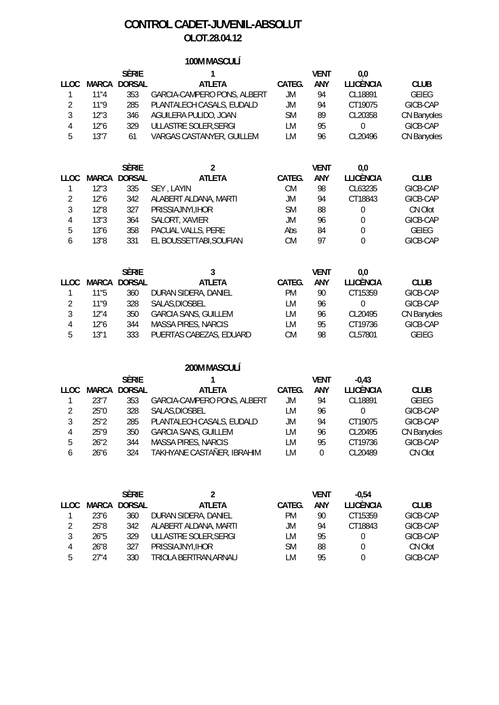# **CONTROL CADET-JUVENIL-ABSOLUT OLOT.28.04.12**

## **100M MASCULÍ**

|        |      | <b>SÈRIE</b>        |                             |        | <b>VENT</b> | 0.0              |                    |
|--------|------|---------------------|-----------------------------|--------|-------------|------------------|--------------------|
| TT OC. |      | <b>MARCA DORSAL</b> | <b>ATLETA</b>               | CATEG. | <b>ANY</b>  | <b>LLICÈNCIA</b> | <b>CLUB</b>        |
|        | 11"4 | 353                 | GARCIA-CAMPERO PONS, ALBERT | JM     | 94          | CL18891          | <b>GEIEG</b>       |
|        | 11"9 | 285                 | PLANTALECH CASALS, EUDALD   | JM     | 94          | CT19075          | GICB-CAP           |
|        | 12"3 | 346                 | AGUILERA PULIDO, JOAN       | SM     | 89          | CL20358          | CN Banyoles        |
| 4      | 12"6 | 329                 | ULLASTRE SOLER, SERGI       | LM     | 95          | 0                | GICB-CAP           |
| 5      | 13"7 | 61                  | VARGAS CASTANYER, GUILLEM   | _M     | 96          | CI 20496         | <b>CN Banyoles</b> |

|             |      | <b>SÈRIE</b> |                         |           | VENT | 0.0              |              |
|-------------|------|--------------|-------------------------|-----------|------|------------------|--------------|
| <b>LLOC</b> |      | MARCA DORSAL | <b>ATLETA</b>           | CATEG.    | ANY  | <b>LLICÈNCIA</b> | <b>CLUB</b>  |
|             | 12"3 | 335          | SEY, LAYIN              | СM        | 98   | CL63235          | GICB-CAP     |
|             | 12"6 | 342          | ALABERT ALDANA, MARTI   | JM        | 94   | CT18843          | GICB-CAP     |
|             | 12"8 | 327          | PRISSIAJNYI, IHOR       | <b>SM</b> | 88   | $\Omega$         | CN Olot      |
| 4           | 13"3 | 364          | SALORT, XAVIER          | JM        | 96   | 0                | GICB-CAP     |
| 5           | 13"6 | 358          | PACUAL VALLS, PERE      | Abs       | 84   | $\Omega$         | <b>GEIEG</b> |
| 6           | 13"8 | 331          | EL BOUSSETTABI, SOUFIAN | СM        | 97   |                  | GICB-CAP     |
|             |      |              |                         |           |      |                  |              |

|        |       | <b>SÈRIE</b>  |                             |        | VENT       | 0.0              |              |
|--------|-------|---------------|-----------------------------|--------|------------|------------------|--------------|
| TT OC. | MARCA | <b>DORSAL</b> | <b>ATLETA</b>               | CATEG. | <b>ANY</b> | <b>LLICÈNCIA</b> | <b>CLUB</b>  |
|        | 11"5  | 360           | DURAN SIDERA, DANIEL        | РM     | 90         | CT15359          | GICB-CAP     |
|        | 11"9  | 328           | SALAS, DIOSBEL              | LM     | 96         | $\left( \right)$ | GICB-CAP     |
| 3      | 12"4  | 350           | <b>GARCIA SANS, GUILLEM</b> | LM     | 96         | CL20495          | CN Banyoles  |
| 4      | 12"6  | 344           | <b>MASSA PIRES, NARCIS</b>  | LМ     | 95         | CT19736          | GICB-CAP     |
| 5      | 13"1  | 333           | PUERTAS CABEZAS, EDUARD     | СM     | 98         | CL57801          | <b>GEIEG</b> |

#### **200M MASCULÍ**

|               |       | <b>SÈRIE</b>  |                             |        | VENT       | $-0.43$          |              |
|---------------|-------|---------------|-----------------------------|--------|------------|------------------|--------------|
| 11 OC.        | MARCA | <b>DORSAL</b> | <b>ATLETA</b>               | CATEG. | <b>ANY</b> | <b>LLICÈNCIA</b> | <b>CLUB</b>  |
|               | 23"7  | 353           | GARCIA-CAMPERO PONS, ALBERT | JM     | 94         | CL18891          | <b>GEIEG</b> |
| $\mathcal{P}$ | 25"0  | 328           | SALAS, DIOSBEL              | LM     | 96         | <sup>0</sup>     | GICB-CAP     |
| 3             | 25"2  | 285           | PLANTALECH CASALS, EUDALD   | JM     | 94         | CT19075          | GICB-CAP     |
| 4             | 25"9  | 350           | <b>GARCIA SANS, GUILLEM</b> | LM     | 96         | CL20495          | CN Banyoles  |
| 5             | 26"2  | 344           | <b>MASSA PIRES, NARCIS</b>  | LM     | 95         | CT19736          | GICB-CAP     |
| 6             | 26"6  | 324           | TAKHYANE CASTAÑER, IBRAHIM  | LM     | 0          | CL20489          | CN Olot      |
|               |       |               |                             |        |            |                  |              |

|        |      | <b>SÈRIE</b> |                       |           | VENT | $-0.54$          |             |
|--------|------|--------------|-----------------------|-----------|------|------------------|-------------|
| 11 OC. |      | MARCA DORSAL | <b>ATLETA</b>         | CATEG.    | ANY  | <b>LLICÈNCIA</b> | <b>CLUB</b> |
|        | 23"6 | 360          | DURAN SIDERA, DANIEL  | РM        | 90   | CT15359          | GICB-CAP    |
|        | 25"8 | 342          | ALABERT ALDANA, MARTI | JM        | 94   | CT18843          | GICB-CAP    |
| 3      | 26"5 | 329          | ULLASTRE SOLER, SERGI | LM        | 95   | $\theta$         | GICB-CAP    |
| 4      | 26"8 | 327          | PRISSIAJNYI, IHOR     | <b>SM</b> | 88   | $\Omega$         | CN Olot     |
| 5      | 27"4 | 330          | TRIOLA BERTRAN, ARNAU | LM        | 95   | 0                | GICB-CAP    |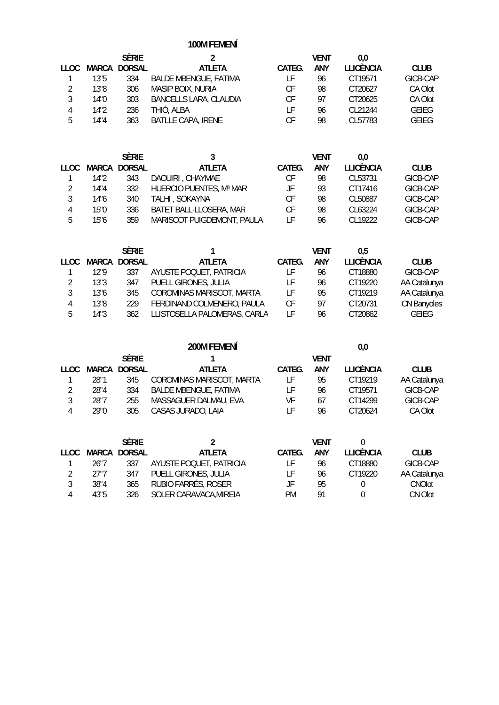**100M FEMENÍ**

|      |               |                               |        | VENT | 0.0              |              |
|------|---------------|-------------------------------|--------|------|------------------|--------------|
|      | <b>DORSAL</b> | <b>ATLETA</b>                 | CATEG. | ANY  | <b>LLICÈNCIA</b> | <b>CLUB</b>  |
| 13"5 | 334           | <b>BALDE MBENGUE, FATIMA</b>  | LF     | 96   | CT19571          | GICB-CAP     |
| 13"8 | 306           | MASIP BOIX, NURIA             | СF     | 98   | CT20627          | CA Olot      |
| 14"0 | 303           | <b>BANCELLS LARA, CLAUDIA</b> | СF     | 97   | CT20625          | CA Olot      |
| 14"2 | 236           | THIÓ, ALBA                    | LF.    | 96   | CI 21244         | <b>GEIEG</b> |
| 14"4 | 363           | <b>BATLLE CAPA, IRENE</b>     | CF     | 98   | CL57783          | <b>GEIEG</b> |
|      |               | <b>SÈRIE</b><br>MARCA         |        |      |                  |              |

|        |      | <b>SÈRIE</b> | 3                          |        | <b>VENT</b> | 0.0              |             |
|--------|------|--------------|----------------------------|--------|-------------|------------------|-------------|
| 11 OC. |      | MARCA DORSAL | <b>ATLETA</b>              | CATEG. | ANY         | <b>LLICÈNCIA</b> | <b>CLUB</b> |
|        | 14"2 | 343          | DAOUIRI, CHAYMAE           | СF     | 98          | CL53731          | GICB-CAP    |
| 2      | 14"4 | 332          | HUERCIO PUENTES, Mª MAR    | JF     | 93          | CT17416          | GICB-CAP    |
| 3      | 14"6 | 340          | TALHI, SOKAYNA             | СF     | 98          | CL50887          | GICB-CAP    |
| 4      | 15"0 | 336          | BATET BALL-LLOSERA, MAR    | СF     | 98          | CL63224          | GICB-CAP    |
| 5      | 15"6 | 359          | MARISCOT PUIGDEMONT, PAULA | ΙF     | 96          | CI 19222         | GICB-CAP    |

|      |      | <b>SÈRIE</b>        |                              |        | <b>VFNT</b> | 0.5              |              |
|------|------|---------------------|------------------------------|--------|-------------|------------------|--------------|
| LLOC |      | <b>MARCA DORSAL</b> | <b>ATLETA</b>                | CATEG. | <b>ANY</b>  | <b>LLICÈNCIA</b> | <b>CLUB</b>  |
|      | 12"9 | 337                 | AYUSTE POQUET, PATRICIA      | i F    | 96          | CT18880          | GICB-CAP     |
| 2    | 13"3 | 347                 | PUELL GIRONES, JULIA         | ιF     | 96          | CT19220          | AA Catalunya |
| 3    | 13"6 | 345                 | COROMINAS MARISCOT, MARTA    |        | 95          | CT19219          | AA Catalunya |
| 4    | 13"8 | 229                 | FERDINAND COLMENERO, PAULA   | СF     | 97          | CT20731          | CN Banyoles  |
| 5    | 14"3 | 362                 | LLISTOSELLA PALOMERAS, CARLA | ΙF     | 96          | CT20862          | GEIEG        |

|      |       |               | 200M FEMENÍ                  |        |      | 0,0              |              |
|------|-------|---------------|------------------------------|--------|------|------------------|--------------|
|      |       | <b>SÈRIE</b>  |                              |        | VENT |                  |              |
| 110C | MARCA | <b>DORSAL</b> | <b>ATLETA</b>                | CATEG. | ANY  | <b>LLICÈNCIA</b> | <b>CLUB</b>  |
|      | 28"1  | 345           | COROMINAS MARISCOT, MARTA    | LF     | 95   | CT19219          | AA Catalunya |
|      | 28"4  | 334           | <b>BALDE MBENGUE, FATIMA</b> | l F    | 96   | CT19571          | GICB-CAP     |
| 3    | 28"7  | 255           | MASSAGUER DALMAU, EVA        | VF     | 67   | CT14299          | GICB-CAP     |
| 4    | 29"0  | 305           | CASAS JURADO, LAIA           | l F    | 96   | CT20624          | CA Olot      |
|      |       |               |                              |        |      |                  |              |
|      |       |               |                              |        |      |                  |              |

|               |      | <b>SÈRIE</b>        |                         |        | VFNT |           |                |
|---------------|------|---------------------|-------------------------|--------|------|-----------|----------------|
| LLOC.         |      | <b>MARCA DORSAL</b> | <b>ATLETA</b>           | CATEG. | ANY  | LLICÈNCIA | <b>CLUB</b>    |
|               | 26"7 | 337                 | AYUSTE POQUET, PATRICIA |        | 96   | CT18880   | GICB-CAP       |
| $\mathcal{D}$ | 27"7 | 347                 | PUELL GIRONES, JULIA    |        | 96   | CT19220   | AA Catalunya   |
|               | 38"4 | 365                 | RUBIO FARRÉS, ROSER     | JF     | 95   |           | <b>CNO</b> lot |
| 4             | 43"5 | 326                 | SOLER CARAVACA, MIREIA  | РM     | 01   |           | CN Olot        |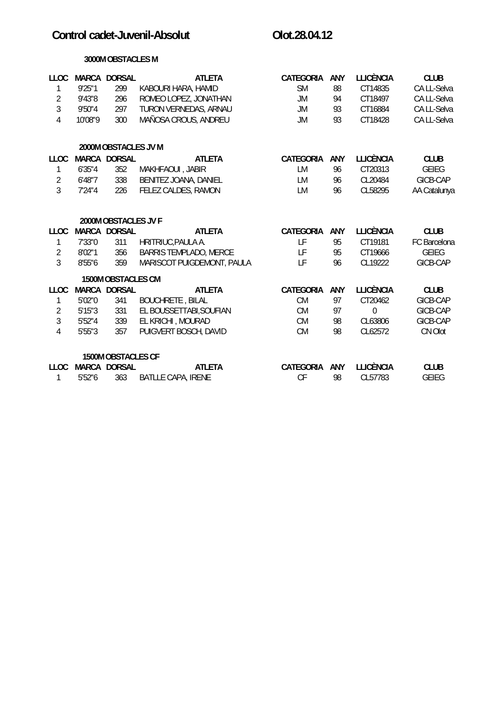# Control cadet-Juvenil-Absolut **Control cadet-** Olot.28.04.12

#### **3000M OBSTACLES M**

| <b>LLOC</b>    |         | <b>MARCA DORSAL</b>  | <b>ATLETA</b>                 | <b>CATEGORIA</b> | ANY        | <b>LLICÈNCIA</b> | <b>CLUB</b>  |
|----------------|---------|----------------------|-------------------------------|------------------|------------|------------------|--------------|
| 1              | 9'25"1  | 299                  | KABOURI HARA, HAMID           | <b>SM</b>        | 88         | CT14835          | CA LL-Selva  |
| $\overline{2}$ | 9'43"8  | 296                  | ROMEO LOPEZ, JONATHAN         | <b>JM</b>        | 94         | CT18497          | CA LL-Selva  |
| 3              | 9'50"4  | 297                  | TURON VERNEDAS, ARNAU         | JM               | 93         | CT16884          | CA LL-Selva  |
| $\sqrt{4}$     | 10'08"9 | 300                  | MAÑOSA CROUS, ANDREU          | <b>JM</b>        | 93         | CT18428          | CA LL-Selva  |
|                |         | 2000M OBSTACLES JV M |                               |                  |            |                  |              |
| <b>LLOC</b>    |         | MARCA DORSAL         | <b>ATLETA</b>                 | <b>CATEGORIA</b> | <b>ANY</b> | <b>LLICÈNCIA</b> | <b>CLUB</b>  |
| 1              | 6'35''4 | 352                  | MAKHFAOUI, JABIR              | LM               | 96         | CT20313          | <b>GEIEG</b> |
| $\overline{2}$ | 6'48"7  | 338                  | BENITEZ JOANA, DANIEL         | LM               | 96         | CL20484          | GICB-CAP     |
| $\overline{3}$ | 7'24''4 | 226                  | FELEZ CALDES, RAMON           | LM               | 96         | CL58295          | AA Catalunya |
|                |         | 2000M OBSTACLES JV F |                               |                  |            |                  |              |
| <b>LLOC</b>    |         | MARCA DORSAL         | <b>ATLETA</b>                 | <b>CATEGORIA</b> | ANY        | <b>LLICÈNCIA</b> | <b>CLUB</b>  |
| 1              | 7'33"0  | 311                  | HRITRIUC, PAULA A.            | LF               | 95         | CT19181          | FC Barcelona |
| $\overline{2}$ | 8'02"1  | 356                  | <b>BARRIS TEMPLADO, MERCE</b> | LF               | 95         | CT19666          | <b>GEIEG</b> |
| $\overline{3}$ | 8'55"6  | 359                  | MARISCOT PUIGDEMONT, PAULA    | LF               | 96         | CL19222          | GICB-CAP     |
|                |         | 1500M OBSTACLES CM   |                               |                  |            |                  |              |
| <b>LLOC</b>    |         | MARCA DORSAL         | <b>ATLETA</b>                 | <b>CATEGORIA</b> | <b>ANY</b> | <b>LLICÈNCIA</b> | <b>CLUB</b>  |
| 1              | 5'02"0  | 341                  | <b>BOUCHRETE, BILAL</b>       | <b>CM</b>        | 97         | CT20462          | GICB-CAP     |
| $\overline{2}$ | 5'15''3 | 331                  | EL BOUSSETTABI, SOUFIAN       | <b>CM</b>        | 97         | 0                | GICB-CAP     |
| 3              | 5'52''4 | 339                  | EL KRICHI, MOURAD             | <b>CM</b>        | 98         | CL63806          | GICB-CAP     |
| 4              | 5'55''3 | 357                  | PUIGVERT BOSCH, DAVID         | <b>CM</b>        | 98         | CL62572          | CN Olot      |
|                |         | 1500M OBSTACLES CF   |                               |                  |            |                  |              |
| <b>LLOC</b>    |         | MARCA DORSAL         | <b>ATLETA</b>                 | <b>CATEGORIA</b> | ANY        | <b>LLICÈNCIA</b> | <b>CLUB</b>  |
| 1              | 5'52"6  | 363                  | <b>BATLLE CAPA, IRENE</b>     | CF               | 98         | CL57783          | <b>GEIEG</b> |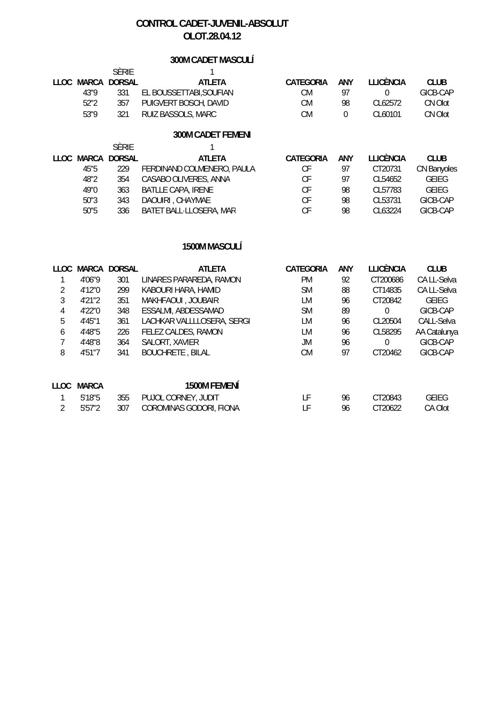# **CONTROL CADET-JUVENIL-ABSOLUT OLOT.28.04.12**

# **300M CADET MASCULÍ**

|      | sèrie             |                       |           |     |                  |             |
|------|-------------------|-----------------------|-----------|-----|------------------|-------------|
|      | LLOC MARCA DORSAL | ATLETA                | CATEGORIA | ANY | <b>TEICÈNCIA</b> | <b>CLUB</b> |
| 43"9 | 331               | EL BOUSSETTABLSOUFIAN | СM        | Q.  |                  | GICB-CAP    |
| 52"2 | 357               | PUIGVERT BOSCH, DAVID | CМ        | 98  | CI 62572         | CN Olot     |
| 53"9 | 321               | RUIZ BASSOLS, MARC    | СM        |     | CL60101          | CN Olot     |

### **300M CADET FEMENÍ**

|      | <b>SÈRIE</b>      |                            |           |            |                  |                    |
|------|-------------------|----------------------------|-----------|------------|------------------|--------------------|
|      | LLOC MARCA DORSAL | <b>ATLETA</b>              | CATEGORIA | <b>ANY</b> | <b>LLICÈNCIA</b> | <b>CLUB</b>        |
| 45"5 | 229               | FERDINAND COLMENERO, PAULA | СF        | 97         | CT20731          | <b>CN Banyoles</b> |
| 48"2 | 354               | CASABO OLIVERES, ANNA      | СF        | 97         | CL54652          | <b>GEIEG</b>       |
| 49"0 | 363               | <b>BATLLE CAPA, IRENE</b>  | СF        | 98         | CL57783          | <b>GEIEG</b>       |
| 50"3 | 343               | DAOUIRI, CHAYMAE           | СF        | 98         | CL53731          | GICB-CAP           |
| 50"5 | 336               | BATET BALL-LLOSERA, MAR    | СF        | 98         | CI 63224         | GICB-CAP           |

#### **1500M MASCULÍ**

| LLOC. | MARCA        | <b>DORSAL</b> | <b>ATLETA</b>              | CATEGORIA | ANY | LLICÈNCIA | <b>CLUB</b>  |
|-------|--------------|---------------|----------------------------|-----------|-----|-----------|--------------|
|       | 4'06"9       | 301           | LINARES PARAREDA, RAMON    | <b>PM</b> | 92  | CT200686  | CA LL-Selva  |
|       | 4'12"0       | 299           | KABOURI HARA, HAMID        | SΜ        | 88  | CT14835   | CA LL-Selva  |
| 3     | 4'21"2       | 351           | MAKHFAOUI, JOUBAIR         | LМ        | 96  | CT20842   | <b>GEIEG</b> |
| 4     | 4'22"0       | 348           | ESSALMI, ABDESSAMAD        | <b>SM</b> | 89  | $\Omega$  | GICB-CAP     |
| 5     | 4'45"1       | 361           | LACHKAR VALLLLOSERA, SERGI | LМ        | 96  | CL20504   | CALL-Selva   |
| 6     | 4'48"5       | 226           | FELEZ CALDES, RAMON        | LМ        | 96  | CL58295   | AA Catalunya |
| 7     | 4'48"8       | 364           | SALORT, XAVIER             | JM        | 96  | 0         | GICB-CAP     |
| 8     | 4'51"7       | 341           | <b>BOUCHRETE, BILAL</b>    | <b>CM</b> | 97  | CT20462   | GICB-CAP     |
| LLOC. | <b>MARCA</b> |               | 1500M FEMENÍ               |           |     |           |              |
|       | 5'18"5       | 355           | PUJOL CORNEY, JUDIT        | LF        | 96  | CT20843   | <b>GEIEG</b> |
| 2     | 5'57"2       | 307           | COROMINAS GODORI, FIONA    | LF        | 96  | CT20622   | CA Olot      |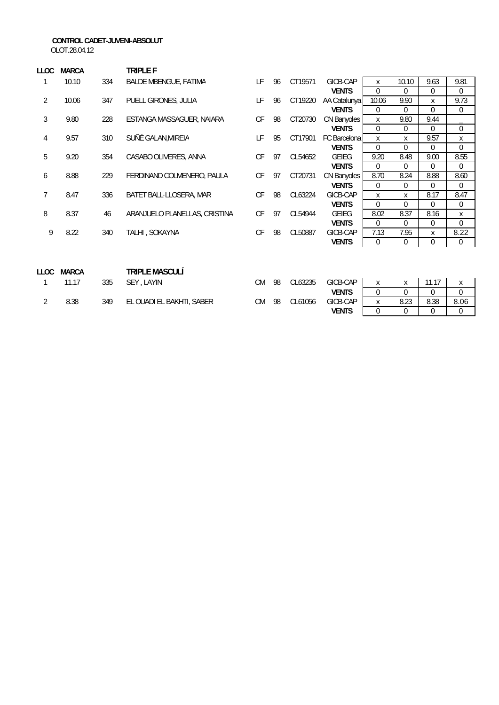#### **CONTROL CADET-JUVENI-ABSOLUT**

OLOT.28.04.12

| LLOC           | <b>MARCA</b> |     | TRIPLE F                      |           |    |         |              |                |          |                |                |
|----------------|--------------|-----|-------------------------------|-----------|----|---------|--------------|----------------|----------|----------------|----------------|
| 1              | 10.10        | 334 | <b>BALDE MBENGUE, FATIMA</b>  | LF        | 96 | CT19571 | GICB-CAP     | X              | 10.10    | 9.63           | 9.81           |
|                |              |     |                               |           |    |         | <b>VENTS</b> | 0              | $\Omega$ | $\Omega$       | 0              |
| $\overline{2}$ | 10.06        | 347 | PUELL GIRONES, JULIA          | LF        | 96 | CT19220 | AA Catalunya | 10.06          | 9.90     | X              | 9.73           |
|                |              |     |                               |           |    |         | <b>VENTS</b> | $\Omega$       | $\Omega$ | $\Omega$       | 0              |
| 3              | 9.80         | 228 | ESTANGA MASSAGUER, NAIARA     | СF        | 98 | CT20730 | CN Banyoles  | X              | 9.80     | 9.44           |                |
|                |              |     |                               |           |    |         | <b>VENTS</b> | $\overline{0}$ | 0        | $\overline{0}$ | $\overline{0}$ |
| 4              | 9.57         | 310 | SUÑÉ GALAN, MIREIA            | LF        | 95 | CT17901 | FC Barcelona | X              | X        | 9.57           | X              |
|                |              |     |                               |           |    |         | <b>VENTS</b> | $\overline{0}$ | $\Omega$ | $\Omega$       | 0              |
| 5              | 9.20         | 354 | CASABO OLIVERES, ANNA         | СF        | 97 | CL54652 | <b>GEIEG</b> | 9.20           | 8.48     | 9.00           | 8.55           |
|                |              |     |                               |           |    |         | <b>VENTS</b> | 0              | $\Omega$ | $\overline{0}$ | 0              |
| 6              | 8.88         | 229 | FERDINAND COLMENERO, PAULA    | CF        | 97 | CT20731 | CN Banyoles  | 8.70           | 8.24     | 8.88           | 8.60           |
|                |              |     |                               |           |    |         | <b>VENTS</b> | $\Omega$       | 0        | $\Omega$       | 0              |
| $\overline{7}$ | 8.47         | 336 | BATET BALL LLOSERA, MAR       | СF        | 98 | CL63224 | GICB-CAP     | X              | X        | 8.17           | 8.47           |
|                |              |     |                               |           |    |         | <b>VENTS</b> | $\Omega$       | $\Omega$ | $\Omega$       | $\overline{0}$ |
| 8              | 8.37         | 46  | ARANJUELO PLANELLAS, CRISTINA | СF        | 97 | CL54944 | <b>GEIEG</b> | 8.02           | 8.37     | 8.16           | X              |
|                |              |     |                               |           |    |         | <b>VENTS</b> | 0              | 0        | $\overline{0}$ | 0              |
| 9              | 8.22         | 340 | TALHI, SOKAYNA                | СF        | 98 | CL50887 | GICB-CAP     | 7.13           | 7.95     | X              | 8.22           |
|                |              |     |                               |           |    |         | <b>VENTS</b> | $\Omega$       | $\Omega$ | $\Omega$       | $\mathbf 0$    |
|                |              |     |                               |           |    |         |              |                |          |                |                |
|                |              |     |                               |           |    |         |              |                |          |                |                |
| <b>LLOC</b>    | <b>MARCA</b> |     | <b>TRIPLE MASCULÍ</b>         |           |    |         |              |                |          |                |                |
| 1              | 11.17        | 335 | SEY, LAYIN                    | <b>CM</b> | 98 | CL63235 | GICB-CAP     | X              | X        | 11.17          | $\mathsf{x}$   |
|                |              |     |                               |           |    |         | <b>VENTS</b> | 0              | $\Omega$ | $\Omega$       | 0              |
| 2              | 8.38         | 349 | EL OUADI EL BAKHTI, SABER     | <b>CM</b> | 98 | CL61056 | GICB-CAP     | X              | 8.23     | 8.38           | 8.06           |

**VENTS** 0 0 0 0 0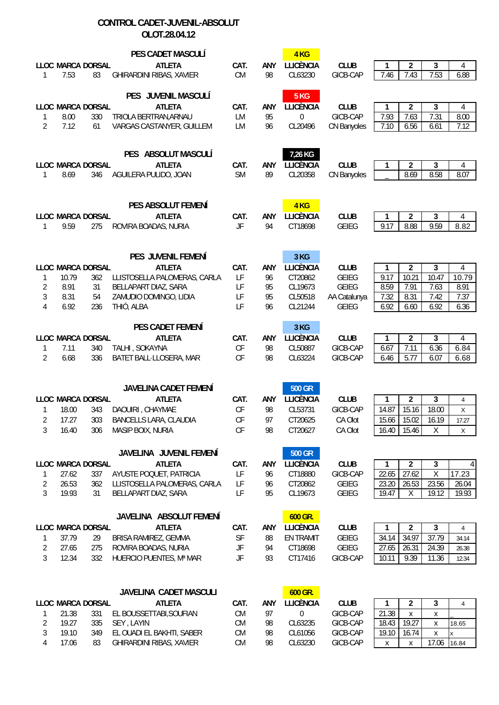#### **CONTROL CADET-JUVENIL-ABSOLUT OLOT.28.04.12**

| $\mathbf{1}$                               | LLOC MARCA DORSAL<br>7.53<br>83                                              | PES CADET MASCULÍ<br><b>ATLETA</b><br>GHIRARDINI RIBAS, XAVIER                                                                      | CAT.<br><b>CM</b>                          | <b>ANY</b><br>98             | 4 <sub>KG</sub><br><b>LLICÈNCIA</b><br>CL63230                       | <b>CLUB</b><br>GICB-CAP                                                     | 3<br>$\overline{2}$<br>1<br>4<br>7.53<br>7.43<br>7.46<br>6.88                                                                                                                          |
|--------------------------------------------|------------------------------------------------------------------------------|-------------------------------------------------------------------------------------------------------------------------------------|--------------------------------------------|------------------------------|----------------------------------------------------------------------|-----------------------------------------------------------------------------|----------------------------------------------------------------------------------------------------------------------------------------------------------------------------------------|
| 1<br>$\overline{2}$                        | LLOC MARCA DORSAL<br>8.00<br>330<br>7.12<br>61                               | PES JUVENIL MASCULÍ<br><b>ATLETA</b><br>TRIOLA BERTRAN, ARNAU<br>VARGAS CASTANYER, GUILLEM                                          | CAT.<br>LM<br>LM                           | ANY<br>95<br>96              | 5 KG<br><b>LLICÈNCIA</b><br>$\pmb{0}$<br>CL20496                     | <b>CLUB</b><br>GICB-CAP<br>CN Banyoles                                      | $\overline{2}$<br>3<br>1<br>4<br>7.93<br>7.63<br>7.31<br>8.00<br>7.10<br>6.56<br>7.12<br>6.61                                                                                          |
| 1                                          | LLOC MARCA DORSAL<br>8.69<br>346                                             | PES ABSOLUT MASCULÍ<br><b>ATLETA</b><br>AGUILERA PULIDO, JOAN                                                                       | CAT.<br><b>SM</b>                          | ANY<br>89                    | 7,26 KG<br><b>LLICÈNCIA</b><br>CL20358                               | <b>CLUB</b><br>CN Banyoles                                                  | $\overline{2}$<br>3<br>1<br>4<br>8.69<br>8.58<br>8.07                                                                                                                                  |
| $\mathbf{1}$                               | LLOC MARCA DORSAL<br>9.59<br>275                                             | PES ABSOLUT FEMENÍ<br><b>ATLETA</b><br>ROVIRA BOADAS, NURIA                                                                         | CAT.<br>JF                                 | <b>ANY</b><br>94             | 4 <sub>KG</sub><br><b>LLICÈNCIA</b><br>CT18698                       | <b>CLUB</b><br><b>GEIEG</b>                                                 | 3<br>$\overline{2}$<br>1<br>4<br>9.59<br>8.88<br>9.17<br>8.82                                                                                                                          |
| 1<br>$\overline{2}$<br>3<br>$\overline{4}$ | LLOC MARCA DORSAL<br>10.79<br>362<br>8.91<br>31<br>54<br>8.31<br>6.92<br>236 | PES JUVENIL FEMENÍ<br><b>ATLETA</b><br>LLISTOSELLA PALOMERAS, CARLA<br>BELLAPART DIAZ, SARA<br>ZAMUDIO DOMINGO, LIDIA<br>THIÓ, ALBA | CAT.<br>LF<br>LF<br>LF<br>LF               | ANY<br>96<br>95<br>95<br>96  | 3 KG<br><b>LLICÈNCIA</b><br>CT20862<br>CL19673<br>CL50518<br>CL21244 | <b>CLUB</b><br><b>GEIEG</b><br><b>GEIEG</b><br>AA Catalunya<br><b>GEIEG</b> | 3<br>$\overline{2}$<br>$\overline{\mathbf{4}}$<br>1<br>10.21<br>10.47<br>9.17<br>10.79<br>7.63<br>8.59<br>7.91<br>8.91<br>7.32<br>7.42<br>8.31<br>7.37<br>6.92<br>6.92<br>6.36<br>6.60 |
| 1<br>$\overline{2}$                        | LLOC MARCA DORSAL<br>7.11<br>340<br>6.68<br>336                              | PES CADET FEMENÍ<br><b>ATLETA</b><br>TALHI, SOKAYNA<br>BATET BALL-LLOSERA, MAR                                                      | CAT.<br>CF<br>CF                           | ANY<br>98<br>98              | 3 KG<br><b>LLICÈNCIA</b><br>CL50887<br>CL63224                       | <b>CLUB</b><br>GICB-CAP<br>GICB-CAP                                         | 3<br>$\overline{2}$<br>1<br>4<br>6.67<br>7.11<br>6.36<br>6.84<br>5.77<br>6.46<br>6.07<br>6.68                                                                                          |
| 1<br>2<br>3                                | LLOC MARCA DORSAL<br>18.00<br>343<br>303<br>17.27<br>16.40<br>306            | <b>JAVELINA CADET FEMENÍ</b><br><b>ATLETA</b><br>DAOUIRI, CHAYMAE<br>BANCELLS LARA, CLAUDIA<br>MASIP BOIX, NURIA                    | CAT.<br><b>CF</b><br><b>CF</b><br>CF       | <b>ANY</b><br>98<br>97<br>98 | <b>500 GR</b><br><b>LLICÈNCIA</b><br>CL53731<br>CT20625<br>CT20627   | <b>CLUB</b><br>GICB-CAP<br>CA Olot<br>CA Olot                               | $\overline{2}$<br>3<br>1<br>4<br>14.87<br>15.16<br>18.00<br>Χ<br>15.66 15.02<br>16.19<br>17.27<br>16.40<br>15.46<br>Χ<br>X                                                             |
| 1<br>2<br>3                                | LLOC MARCA DORSAL<br>337<br>27.62<br>26.53<br>362<br>19.93<br>31             | JAVELINA JUVENIL FEMENÍ<br><b>ATLETA</b><br>AYUSTE POQUET, PATRICIA<br>LLISTOSELLA PALOMERAS, CARLA<br>BELLAPART DIAZ, SARA         | CAT.<br>LF<br>LF<br>LF                     | ANY<br>96<br>96<br>95        | <b>500 GR</b><br><b>LLICÈNCIA</b><br>CT18880<br>CT20862<br>CL19673   | <b>CLUB</b><br>GICB-CAP<br><b>GEIEG</b><br><b>GEIEG</b>                     | $\overline{2}$<br>3<br>1<br>4 <sup>1</sup><br>27.62<br>Χ<br>22.65<br>17.23<br>23.20<br>23.56<br>26.53<br>26.04<br>19.47<br>19.12<br>19.93<br>Χ                                         |
| 1<br>$\overline{2}$<br>3                   | LLOC MARCA DORSAL<br>37.79<br>29<br>27.65<br>275<br>12.34<br>332             | JAVELINA ABSOLUT FEMENÍ<br><b>ATLETA</b><br>BRISA RAMIREZ, GEMMA<br>ROVIRA BOADAS, NURIA<br>HUERCIO PUENTES, Mª MAR                 | CAT.<br>SF<br>$\mathsf{J}\mathsf{F}$<br>JF | ANY<br>88<br>94<br>93        | 600 GR.<br><b>LLICÈNCIA</b><br>EN TRAMIT<br>CT18698<br>CT17416       | <b>CLUB</b><br><b>GEIEG</b><br><b>GEIEG</b><br>GICB-CAP                     | 3<br>$\overline{2}$<br>1<br>$\overline{4}$<br>34.14<br>34.97<br>37.79<br>34.14<br>27.65<br>26.31<br>24.39<br>26.38<br>10.11<br>9.39<br>11.36<br>12.34                                  |
|                                            | LLOC MARCA DORSAL<br>331<br>21.38                                            | <b>JAVELINA CADET MASCULI</b><br><b>ATLETA</b><br>EL BOUSSETTABI, SOUFIAN                                                           | CAT.<br>CM                                 | ANY<br>97                    | 600 GR.<br><b>LLICÈNCIA</b><br>0                                     | <b>CLUB</b><br>GICB-CAP                                                     | 1<br>$\overline{c}$<br>3<br>4<br>21.38<br>Χ<br>Χ                                                                                                                                       |

2 19.27 335 SEY , LAYIN CM 98 CL63235 GICB-CAP 18.43 19.27 x 18.65

4 17.06 83 GHIRARDINI RIBAS, XAVIER CM 98 CL63230 GICB-CAP x x 17.06 16.84

3 19.10 349 EL OUADI EL BAKHTI, SABER CM 98 CL61056 GICB-CAP 19.10 16.74 x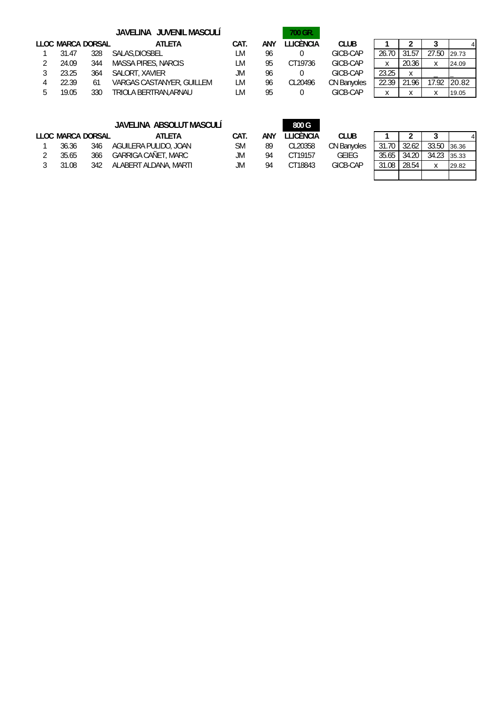|       |                   | JAVELINA JUVENIL MASCULÍ         |      |     | 700 GR.   |             |       |       |       |              |
|-------|-------------------|----------------------------------|------|-----|-----------|-------------|-------|-------|-------|--------------|
|       | LLOC MARCA DORSAL | <b>ATLETA</b>                    | CAT. | ANY | LLICÈNCIA | <b>CLUB</b> |       |       |       |              |
| 31.47 | 328               | SALAS.DIOSBEL                    | LМ   | 96  |           | GICB-CAP    | 26.70 | 31.57 | 27.50 | 29.73        |
| 24.09 | 344               | <b>MASSA PIRES, NARCIS</b>       | LM   | 95  | CT19736   | GICB-CAP    | X     | 20.36 | X     | 24.09        |
| 23.25 | 364               | SALORT, XAVIER                   | JM.  | 96  |           | GICB-CAP    | 23.25 | Χ     |       |              |
| 22.39 | 61                | <b>VARGAS CASTANYER, GUILLEM</b> | LM   | 96  | CL20496   | CN Banyoles | 22.39 | 21.96 | 17.92 | <b>20.82</b> |
| 19.05 | 330               | TRIOLA BERTRAN.ARNAU             | _M   | 95  |           | GICB-CAP    |       | Λ     | Χ     | 19.05        |

| 26.70 | 31.57 | 27.50 | 29.73 |
|-------|-------|-------|-------|
|       | 20.36 |       | 24.09 |
| 23.25 |       |       |       |
| 22.39 | 21.96 | 17.92 | 20.82 |
|       |       |       | 19.05 |

|       |                   | JAVELINA ABSOLUT MASCULÍ |      |     | 800 G     |             |       |       |             |       |
|-------|-------------------|--------------------------|------|-----|-----------|-------------|-------|-------|-------------|-------|
|       | LLOC MARCA DORSAL | ATLETA                   | CAT. | ANY | LLICÈNCIA | <b>CLUB</b> |       |       |             |       |
| 36.36 | 346               | AGUILERA PULIDO, JOAN    | SΜ   | 89  | CL20358   | CN Banvoles | 31.70 | 32.62 | 33.50       | 36.36 |
| 35.65 | 366               | GARRIGA CAÑET, MARC      | JM   | 94  | CT19157   | GEIEG       | 35.65 | 34.20 | 34.23       | 35.33 |
| 31.08 | 342               | ALABERT ALDANA, MARTI    | JM.  | 94  | CT18843   | GICB-CAP    | 31.08 | 28.54 | $\mathbf v$ | 29.82 |
|       |                   |                          |      |     |           |             |       |       |             |       |

| 31.70 | 32.62 | 33.50 | 36.36 |
|-------|-------|-------|-------|
| 35.65 | 34.20 | 34.23 | 35.33 |
| 31.08 | 28.54 |       | 29.82 |
|       |       |       |       |